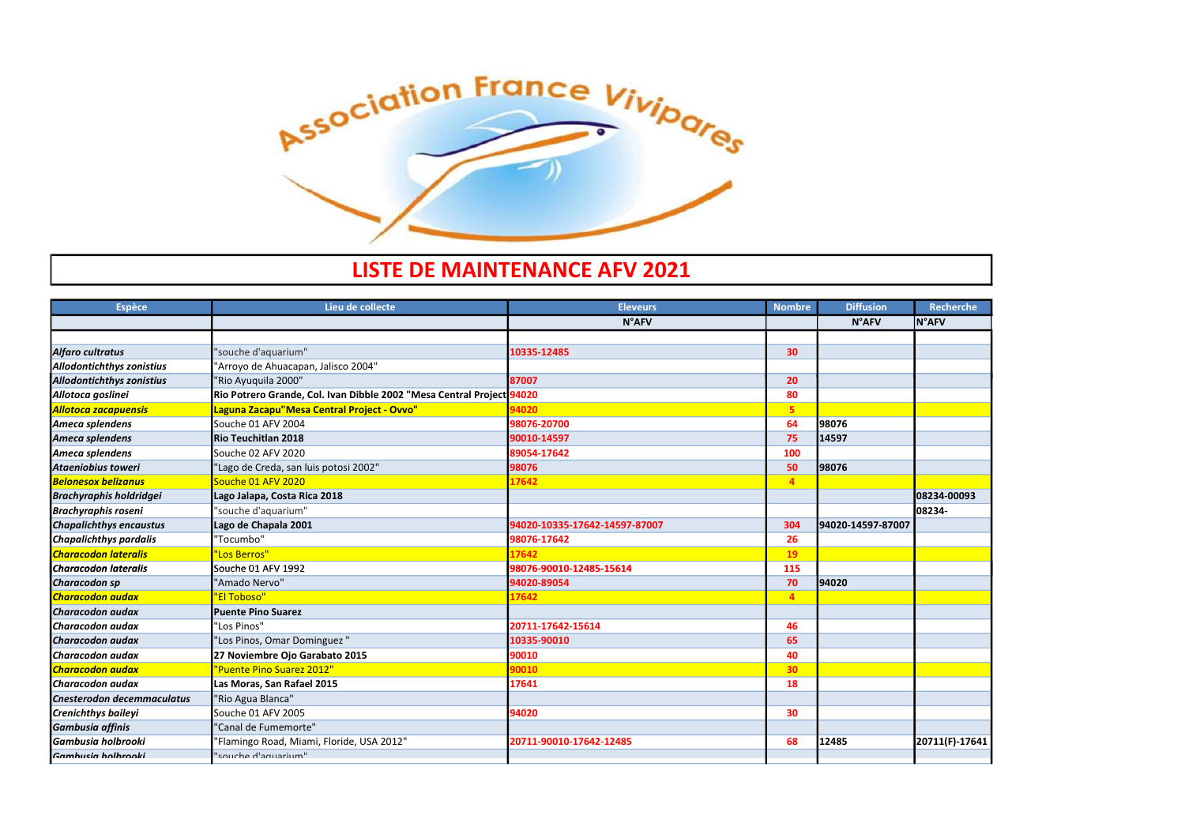

## LISTE DE MAINTENANCE AFV 2021

| LIJ I L <i>d</i> e Ivianivi livavec al V |                                                                       |                               |                 |                   |                  |
|------------------------------------------|-----------------------------------------------------------------------|-------------------------------|-----------------|-------------------|------------------|
| <b>Espèce</b>                            | Lieu de collecte                                                      | <b>Eleveurs</b>               | <b>Nombre</b>   | <b>Diffusion</b>  | <b>Recherche</b> |
|                                          |                                                                       | <b>N°AFV</b>                  |                 | <b>N°AFV</b>      | <b>N°AFV</b>     |
|                                          |                                                                       |                               |                 |                   |                  |
| Alfaro cultratus                         | 'souche d'aquarium"                                                   | 10335-12485                   | 30              |                   |                  |
| Allodontichthys zonistius                | 'Arroyo de Ahuacapan, Jalisco 2004"                                   |                               |                 |                   |                  |
| <b>Allodontichthys zonistius</b>         | 'Rio Ayuquila 2000"                                                   | 87007                         | 20              |                   |                  |
| Allotoca goslinei                        | Rio Potrero Grande, Col. Ivan Dibble 2002 "Mesa Central Project 94020 |                               | 80              |                   |                  |
| <b>Allotoca zacapuensis</b>              | Laguna Zacapu"Mesa Central Project - Ovvo"                            | 94020                         | 5 <sub>1</sub>  |                   |                  |
| Ameca splendens                          | Souche 01 AFV 2004                                                    | 98076-20700                   | 64              | 98076             |                  |
| Ameca splendens                          | Rio Teuchitlan 2018                                                   | 90010-14597                   | 75              | 14597             |                  |
| Ameca splendens                          | Souche 02 AFV 2020                                                    | 89054-17642                   | 100             |                   |                  |
| Ataeniobius toweri                       | 'Lago de Creda, san luis potosi 2002"                                 | 98076                         | 50              | 98076             |                  |
| <b>Belonesox belizanus</b>               | Souche 01 AFV 2020                                                    | 17642                         | $\overline{4}$  |                   |                  |
| <b>Brachyraphis holdridgei</b>           | Lago Jalapa, Costa Rica 2018                                          |                               |                 |                   | 08234-00093      |
| <b>Brachyraphis roseni</b>               | 'souche d'aquarium"                                                   |                               |                 |                   | 08234-           |
| <b>Chapalichthys encaustus</b>           | Lago de Chapala 2001                                                  | 94020-10335-17642-14597-87007 | 304             | 94020-14597-87007 |                  |
| <b>Chapalichthys pardalis</b>            | 'Tocumbo"                                                             | 98076-17642                   | 26              |                   |                  |
| <b>Characodon lateralis</b>              | 'Los Berros"                                                          | 17642                         | 19              |                   |                  |
| <b>Characodon lateralis</b>              | Souche 01 AFV 1992                                                    | 98076-90010-12485-15614       | 115             |                   |                  |
| Characodon sp                            | 'Amado Nervo"                                                         | 94020-89054                   | 70              | 94020             |                  |
| <b>Characodon audax</b>                  | "El Toboso"                                                           | 17642                         | 4 <sup>1</sup>  |                   |                  |
| <b>I</b> Characodon audax                | <b>IPuente Pino Suarez</b>                                            |                               |                 |                   |                  |
| Characodon audax                         | 'Los Pinos"                                                           | 20711-17642-15614             | 46              |                   |                  |
| Characodon audax                         | 'Los Pinos, Omar Dominguez"                                           | 10335-90010                   | 65              |                   |                  |
| Characodon audax                         | 27 Noviembre Ojo Garabato 2015                                        | 90010                         | 40              |                   |                  |
| <b>Characodon audax</b>                  | "Puente Pino Suarez 2012"                                             | 90010                         | 30 <sub>2</sub> |                   |                  |
| Characodon audax                         | Las Moras, San Rafael 2015                                            | 17641                         | 18              |                   |                  |
| <b>Cnesterodon decemmaculatus</b>        | 'Rio Agua Blanca"                                                     |                               |                 |                   |                  |
| <b>Crenichthys baileyi</b>               | Souche 01 AFV 2005                                                    | 94020                         | 30              |                   |                  |
| <b>Gambusia affinis</b>                  | 'Canal de Fumemorte"                                                  |                               |                 |                   |                  |
| <b>l</b> Gambusia holbrooki              | 'Flamingo Road, Miami, Floride, USA 2012"                             | 20711-90010-17642-12485       | 68              | 12485             | 20711(F)-17641   |
| Gamhusia holhrooki                       | souche d'aquarium"                                                    |                               |                 |                   |                  |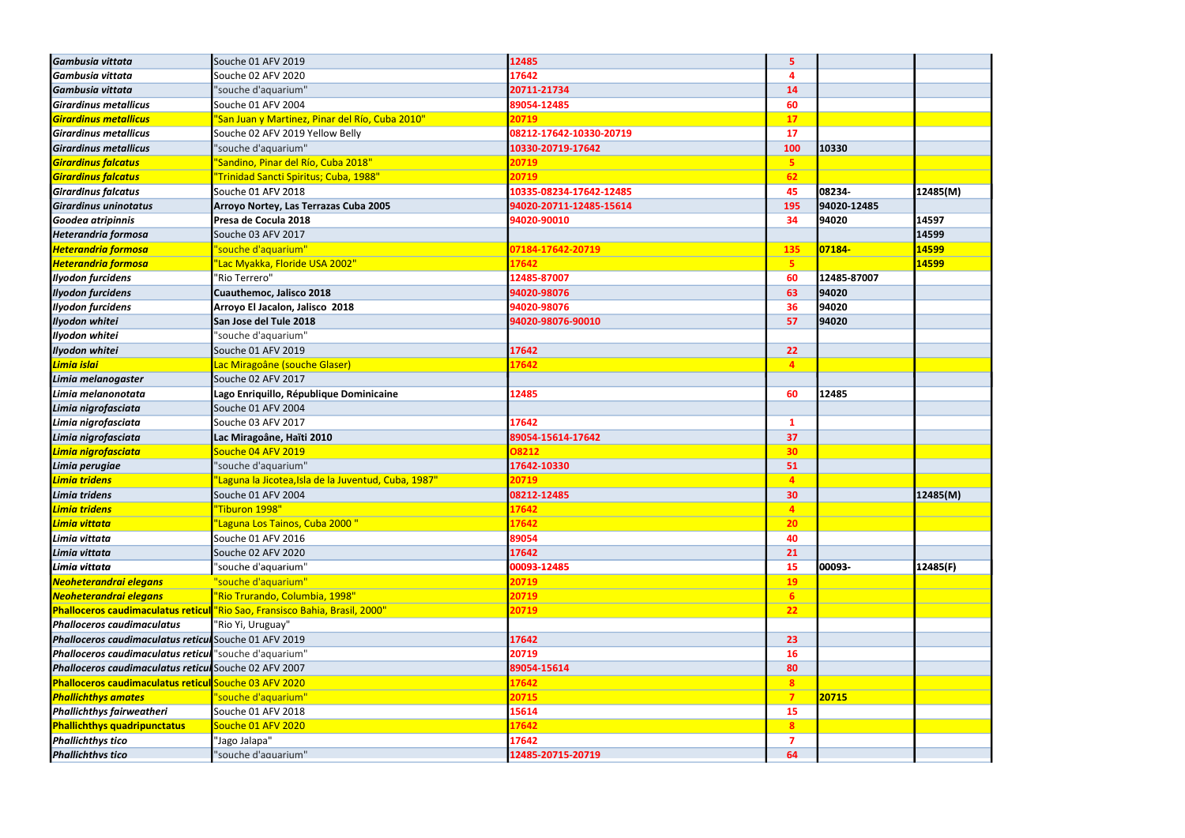| Gambusia vittata                                       | Souche 01 AFV 2019                                                          | 12485                   | 5               |             |          |
|--------------------------------------------------------|-----------------------------------------------------------------------------|-------------------------|-----------------|-------------|----------|
| Gambusia vittata                                       | Souche 02 AFV 2020                                                          | 17642                   | Δ               |             |          |
| Gambusia vittata                                       | 'souche d'aquarium"                                                         | 20711-21734             | 14              |             |          |
| <b>Girardinus metallicus</b>                           | Souche 01 AFV 2004                                                          | 89054-12485             | 60              |             |          |
| <b>Girardinus metallicus</b>                           | 'San Juan y Martinez, Pinar del Río, Cuba 2010"                             | 20719                   | 17              |             |          |
| Girardinus metallicus                                  | Souche 02 AFV 2019 Yellow Belly                                             | 08212-17642-10330-20719 | 17              |             |          |
| <b>Girardinus metallicus</b>                           | 'souche d'aquarium"                                                         | 10330-20719-17642       | 100             | 10330       |          |
| <b>Girardinus falcatus</b>                             | 'Sandino, Pinar del Río, Cuba 2018"                                         | 20719                   | 5 <sub>1</sub>  |             |          |
| <b>Girardinus falcatus</b>                             | "Trinidad Sancti Spiritus; Cuba, 1988"                                      | 20719                   | 62              |             |          |
| <b>Girardinus falcatus</b>                             | Souche 01 AFV 2018                                                          | 10335-08234-17642-12485 | 45              | 08234-      | 12485(M) |
| Girardinus uninotatus                                  | Arroyo Nortey, Las Terrazas Cuba 2005                                       | 94020-20711-12485-15614 | 195             | 94020-12485 |          |
| Goodea atripinnis                                      | Presa de Cocula 2018                                                        | 94020-90010             | 34              | 94020       | 14597    |
| <b>Heterandria formosa</b>                             | Souche 03 AFV 2017                                                          |                         |                 |             | 14599    |
| <b>Heterandria formosa</b>                             | "souche d'aquarium"                                                         | 07184-17642-20719       | <b>135</b>      | 07184-      | 14599    |
| <b>Heterandria formosa</b>                             | 'Lac Myakka, Floride USA 2002"                                              | 17642                   | 5 <sub>1</sub>  |             | 14599    |
| <b>Ilyodon furcidens</b>                               | "Rio Terrero"                                                               | 12485-87007             | 60              | 12485-87007 |          |
| <b>Ilyodon furcidens</b>                               | Cuauthemoc, Jalisco 2018                                                    | 94020-98076             | 63              | 94020       |          |
| <b>Ilyodon furcidens</b>                               | Arroyo El Jacalon, Jalisco 2018                                             | 94020-98076             | 36              | 94020       |          |
| Ilyodon whitei                                         | San Jose del Tule 2018                                                      | 94020-98076-90010       | 57              | 94020       |          |
| Ilyodon whitei                                         | 'souche d'aquarium"                                                         |                         |                 |             |          |
| Ilyodon whitei                                         | Souche 01 AFV 2019                                                          | 17642                   | 22              |             |          |
| Limia islai                                            | Lac Miragoâne (souche Glaser)                                               | 17642                   | $\overline{4}$  |             |          |
| Limia melanogaster                                     | Souche 02 AFV 2017                                                          |                         |                 |             |          |
| Limia melanonotata                                     | Lago Enriquillo, République Dominicaine                                     | 12485                   | 60              | 12485       |          |
| Limia nigrofasciata                                    | Souche 01 AFV 2004                                                          |                         |                 |             |          |
| Limia nigrofasciata                                    | Souche 03 AFV 2017                                                          | 17642                   | $\mathbf{1}$    |             |          |
| Limia nigrofasciata                                    | Lac Miragoâne, Haïti 2010                                                   | 89054-15614-17642       | 37              |             |          |
| Limia nigrofasciata                                    | Souche 04 AFV 2019                                                          | 08212                   | 30 <sub>2</sub> |             |          |
| Limia perugiae                                         | 'souche d'aquarium"                                                         | 17642-10330             | 51              |             |          |
| Limia tridens                                          | 'Laguna la Jicotea, Isla de la Juventud, Cuba, 1987"                        | 20719                   | $\overline{4}$  |             |          |
| Limia tridens                                          | Souche 01 AFV 2004                                                          | 08212-12485             | 30              |             | 12485(M) |
| Limia tridens                                          | "Tiburon 1998"                                                              | 17642                   | $\overline{4}$  |             |          |
| Limia vittata                                          | 'Laguna Los Tainos, Cuba 2000 "                                             | 17642                   | 20 <sub>2</sub> |             |          |
| Limia vittata                                          | Souche 01 AFV 2016                                                          | 89054                   | 40              |             |          |
| Limia vittata                                          | Souche 02 AFV 2020                                                          | 17642                   | 21              |             |          |
| Limia vittata                                          | "souche d'aquarium"                                                         | 00093-12485             | <b>15</b>       | 00093-      | 12485(F) |
| Neoheterandrai elegans                                 | "souche d'aquarium"                                                         | 20719                   | <b>19</b>       |             |          |
| Neoheterandrai elegans                                 | "Rio Trurando, Columbia, 1998"                                              | 20719                   | 6 <sup>1</sup>  |             |          |
|                                                        | Phalloceros caudimaculatus reticul "Rio Sao, Fransisco Bahia, Brasil, 2000" | 20719                   | 22              |             |          |
| <b>Phalloceros caudimaculatus</b>                      | "Rio Yi, Uruguay"                                                           |                         |                 |             |          |
| Phalloceros caudimaculatus reticul Souche 01 AFV 2019  |                                                                             | 17642                   | 23              |             |          |
| Phalloceros caudimaculatus reticul "souche d'aquarium" |                                                                             | 20719                   | <b>16</b>       |             |          |
| Phalloceros caudimaculatus reticul Souche 02 AFV 2007  |                                                                             | 89054-15614             | 80              |             |          |
| Phalloceros caudimaculatus reticul Souche 03 AFV 2020  |                                                                             | 17642                   | 8 <sup>°</sup>  |             |          |
| <b>Phallichthys amates</b>                             | "souche d'aquarium"                                                         | 20715                   | 7 <sup>7</sup>  | 20715       |          |
| <b>Phallichthys fairweatheri</b>                       | Souche 01 AFV 2018                                                          | 15614                   | <b>15</b>       |             |          |
| <b>Phallichthys quadripunctatus</b>                    | Souche 01 AFV 2020                                                          | 17642                   | 8 <sup>°</sup>  |             |          |
| <b>Phallichthys tico</b>                               | "Jago Jalapa"                                                               | 17642                   | 7               |             |          |
| <b>Phallichthys tico</b>                               | "souche d'aquarium"                                                         | 12485-20715-20719       | 64              |             |          |

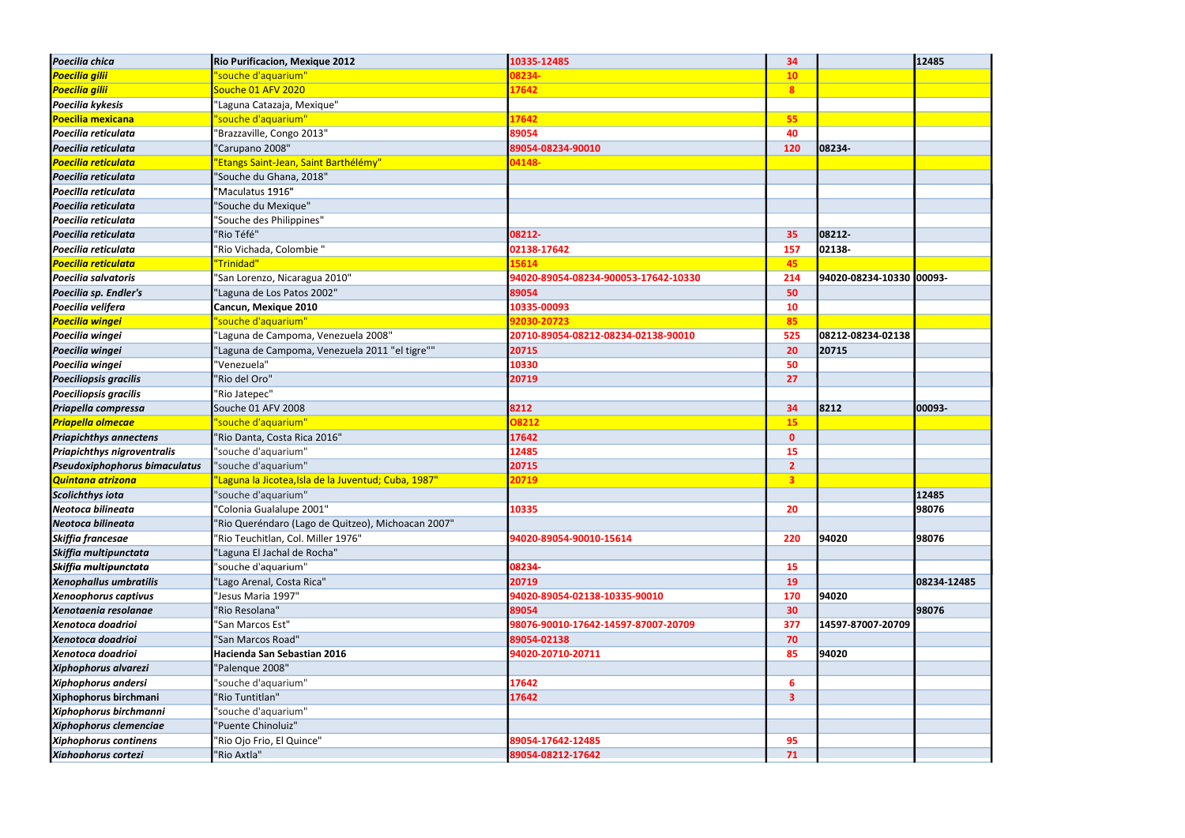| Poecilia chica                     | <b>Rio Purificacion, Mexique 2012</b>                | 10335-12485                          | 34              |                          | 12485       |
|------------------------------------|------------------------------------------------------|--------------------------------------|-----------------|--------------------------|-------------|
| <b>Poecilia gilii</b>              | "souche d'aquarium"                                  | 08234-                               | 10 <sub>1</sub> |                          |             |
| <b>Poecilia gilii</b>              | Souche 01 AFV 2020                                   | 17642                                | 8 <sup>°</sup>  |                          |             |
| Poecilia kykesis                   | "Laguna Catazaja, Mexique"                           |                                      |                 |                          |             |
| <b>Poecilia mexicana</b>           | "souche d'aquarium"                                  | 17642                                | 55              |                          |             |
| Poecilia reticulata                | 'Brazzaville, Congo 2013"                            | 89054                                | 40              |                          |             |
| Poecilia reticulata                | "Carupano 2008"                                      | 89054-08234-90010                    | 120             | 08234-                   |             |
| <b>Poecilia reticulata</b>         | "Etangs Saint-Jean, Saint Barthélémy"                | 04148-                               |                 |                          |             |
| Poecilia reticulata                | "Souche du Ghana, 2018"                              |                                      |                 |                          |             |
| Poecilia reticulata                | "Maculatus 1916"                                     |                                      |                 |                          |             |
| Poecilia reticulata                | "Souche du Mexique"                                  |                                      |                 |                          |             |
| Poecilia reticulata                | "Souche des Philippines"                             |                                      |                 |                          |             |
| Poecilia reticulata                | "Rio Téfé"                                           | 08212-                               | 35              | 08212-                   |             |
| Poecilia reticulata                | 'Rio Vichada, Colombie "                             | 02138-17642                          | 157             | 02138-                   |             |
| <b>Poecilia reticulata</b>         | "Trinidad"                                           | 15614                                | 45              |                          |             |
| Poecilia salvatoris                | "San Lorenzo, Nicaragua 2010"                        | 94020-89054-08234-900053-17642-10330 | 214             | 94020-08234-10330 00093- |             |
| Poecilia sp. Endler's              | "Laguna de Los Patos 2002"                           | 89054                                | 50              |                          |             |
| Poecilia velifera                  | Cancun, Mexique 2010                                 | 10335-00093                          | <b>10</b>       |                          |             |
| <b>Poecilia wingei</b>             | "souche d'aquarium"                                  | 92030-20723                          | 85              |                          |             |
| Poecilia wingei                    | 'Laguna de Campoma, Venezuela 2008"                  | 20710-89054-08212-08234-02138-90010  | 525             | 08212-08234-02138        |             |
| Poecilia wingei                    | 'Laguna de Campoma, Venezuela 2011 "el tigre""       | 20715                                | 20              | 20715                    |             |
| Poecilia wingei                    | "Venezuela"                                          | 10330                                | 50              |                          |             |
| <b>Poeciliopsis gracilis</b>       | "Rio del Oro"                                        | 20719                                | 27              |                          |             |
| <b>Poeciliopsis gracilis</b>       | "Rio Jatepec"                                        |                                      |                 |                          |             |
| Priapella compressa                | Souche 01 AFV 2008                                   | 8212                                 | 34              | 8212                     | 00093-      |
| <b>Priapella olmecae</b>           | "souche d'aquarium"                                  | 08212                                | 15              |                          |             |
| <b>Priapichthys annectens</b>      | "Rio Danta, Costa Rica 2016"                         | 17642                                | $\mathbf{0}$    |                          |             |
| <b>Priapichthys nigroventralis</b> | "souche d'aquarium"                                  | 12485                                | 15              |                          |             |
| Pseudoxiphophorus bimaculatus      | "souche d'aquarium"                                  | 20715                                | $\overline{2}$  |                          |             |
| <b>Quintana atrizona</b>           | 'Laguna la Jicotea, Isla de la Juventud; Cuba, 1987" | 20719                                | 3 <sup>7</sup>  |                          |             |
| <b>Scolichthys iota</b>            | "souche d'aquarium"                                  |                                      |                 |                          | 12485       |
| Neotoca bilineata                  | "Colonia Gualalupe 2001"                             | 10335                                | 20              |                          | 98076       |
| Neotoca bilineata                  | "Rio Queréndaro (Lago de Quitzeo), Michoacan 2007"   |                                      |                 |                          |             |
| Skiffia francesae                  | 'Rio Teuchitlan, Col. Miller 1976"                   | 94020-89054-90010-15614              | 220             | 94020                    | 98076       |
| Skiffia multipunctata              | "Laguna El Jachal de Rocha"                          |                                      |                 |                          |             |
| Skiffia multipunctata              | "souche d'aquarium"                                  | 08234-                               | 15              |                          |             |
| Xenophallus umbratilis             | "Lago Arenal, Costa Rica"                            | 20719                                | 19              |                          | 08234-12485 |
| Xenoophorus captivus               | "Jesus Maria 1997"                                   | 94020-89054-02138-10335-90010        | 170             | 94020                    |             |
| Xenotaenia resolanae               | "Rio Resolana"                                       | 89054                                | 30 <sub>o</sub> |                          | 98076       |
| Xenotoca doadrioi                  | "San Marcos Est"                                     | 98076-90010-17642-14597-87007-20709  | 377             | 14597-87007-20709        |             |
| Xenotoca doadrioi                  | "San Marcos Road"                                    | 89054-02138                          | 70              |                          |             |
| Xenotoca doadrioi                  | Hacienda San Sebastian 2016                          | 94020-20710-20711                    | 85              | 94020                    |             |
| <b>Xiphophorus alvarezi</b>        | "Palenque 2008"                                      |                                      |                 |                          |             |
| <b>Xiphophorus andersi</b>         | "souche d'aquarium"                                  | 17642                                | 6               |                          |             |
| Xiphophorus birchmani              | "Rio Tuntitlan"                                      | 17642                                | 3               |                          |             |
| Xiphophorus birchmanni             | "souche d'aquarium"                                  |                                      |                 |                          |             |
| Xiphophorus clemenciae             | "Puente Chinoluiz"                                   |                                      |                 |                          |             |
| <b>Xiphophorus continens</b>       | "Rio Ojo Frio, El Quince"                            | 89054-17642-12485                    | 95              |                          |             |
| Xiphophorus cortezi                | "Rio Axtla"                                          | 89054-08212-17642                    | 71              |                          |             |